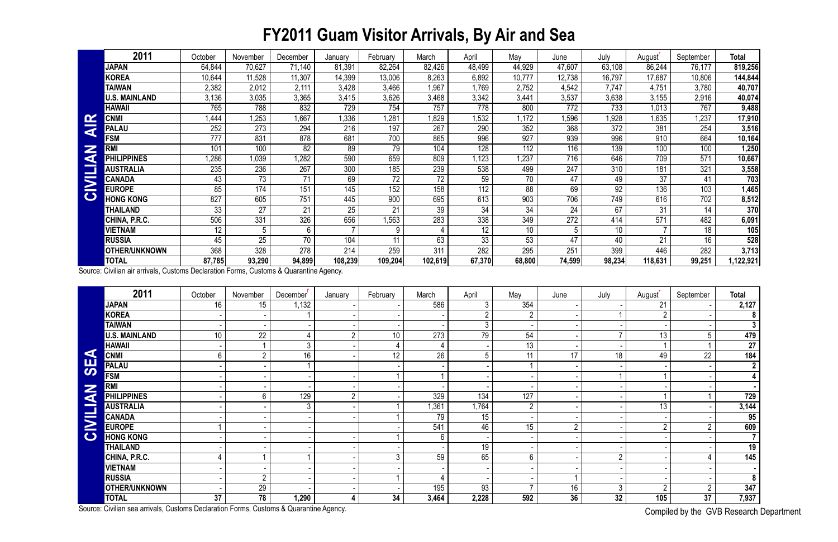## **FY2011 Guam Visitor Arrivals, By Air and Sea**

Compiled by the GVB Research Department

|                              | 2011                 | October | November | December | January | February | March   | April              | May    | June            | July   | August  | September | <b>Total</b> |
|------------------------------|----------------------|---------|----------|----------|---------|----------|---------|--------------------|--------|-----------------|--------|---------|-----------|--------------|
|                              | <b>JAPAN</b>         | 64,844  | 70,627   | 71,140   | 81,39'  | 82,264   | 82,426  | 48,499             | 44,929 | 47,607          | 63,108 | 86,244  | 76,177    | 819,256      |
|                              | <b>KOREA</b>         | 10,644  | 11,528   | 11,307   | 14,399  | 13,006   | 8,263   | 6,892              | 10,777 | 12,738          | 16,797 | 17,687  | 10,806    | 144,844      |
|                              | <b>TAIWAN</b>        | 2,382   | 2,012    | 2,111    | 3,428   | 3,466    | ,967    | 1,769              | 2,752  | 4,542           | 7,747  | 4,751   | 3,780     | 40,707       |
|                              | <b>U.S. MAINLAND</b> | 3,136   | 3,035    | 3,365    | 3,415   | 3,626    | 3,468   | 3,342              | 3,441  | 3,537           | 3,638  | 3,155   | 2,916     | 40,074       |
|                              | <b>HAWAII</b>        | 765     | 788      | 832      | 729     | 754      | 757     | 778                | 800    | 772             | 733    | 1,013   | 767       | 9,488        |
| $\alpha$                     | <b>CNM</b>           | ,444    | 1,253    | 1,667    | 1,336   | 1,281    | .829    | $\overline{1,532}$ | 1,172  | 1,596           | 1,928  | 1,635   | 1,237     | 17,910       |
| ⋜                            | <b>PALAU</b>         | 252     | 273      | 294      | 216     | 197      | 267     | 290                | 352    | 368             | 372    | 381     | 254       | 3,516        |
|                              | <b>FSM</b>           | 777     | 831      | 878      | 681     | 700      | 865     | 996                | 927    | 939             | 996    | 910     | 664       | 10,164       |
| $\overline{\mathbb{Z}}$<br>G | <b>RMI</b>           | 101     | 100      | 82       | 89      | 79       | 104     | 128                | 112    | 116             | 139    | 100     | 100       | 1,250        |
|                              | <b>PHILIPPINES</b>   | 1,286   | 1,039    | 1,282    | 590     | 659      | 809     | 1,123              | 1,237  | 716             | 646    | 709     | 571       | 10,667       |
|                              | <b>AUSTRALIA</b>     | 235     | 236      | 267      | 300     | 185      | 239     | 538                | 499    | 247             | 310    | 181     | 321       | 3,558        |
| $\overline{\mathbf{M}}$      | <b>CANADA</b>        | 43      | 73       | 71       | 69      | 72       | 72      | 59                 | 70     | 47              | 49     | 37      | 41        | 703          |
|                              | <b>EUROPE</b>        | 85      | 174      | 151      | 145     | 152      | 158     | 112                | 88     | 69              | 92     | 136     | 103       | 1,465        |
| $\mathbf C$                  | <b>HONG KONG</b>     | 827     | 605      | 751      | 445     | 900      | 695     | 613                | 903    | 706             | 749    | 616     | 702       | 8,512        |
|                              | THAILAND             | 33      | 27       | 21       | 25      | 21       | 39      | 34                 | 34     | $\overline{24}$ | 67     | 31      | 14        | 370          |
|                              | CHINA, P.R.C.        | 506     | 331      | 326      | 656     | ,563     | 283     | 338                | 349    | 272             | 414    | 571     | 482       | 6,091        |
|                              | VIETNAM              | 12      | 5        | 6        |         | 9        |         | 12                 | 10     | 5               | 10     |         | 18        | 105          |
|                              | <b>RUSSIA</b>        | 45      | 25       | 70       | 104     | 11       | 63      | 33                 | 53     | 47              | 40     | 21      | 16        | 528          |
|                              | <b>OTHER/UNKNOWN</b> | 368     | 328      | 278      | 214     | 259      | 311     | 282                | 295    | 251             | 399    | 446     | 282       | 3,713        |
|                              | <b>TOTAL</b>         | 87,785  | 93,290   | 94,899   | 108,239 | 109,204  | 102,619 | 67,370             | 68,800 | 74,599          | 98,234 | 118,631 | 99,251    | ,122,921     |

| $\mathbf{\alpha}$         | <b>CNMI</b>                                                                            | 1,444           | 1,253            | 1,667                 | 1,336            | 1,281           | 1,829           | 1,532            | 1,172           | 1,596            | 1,928           | 1,635           | 1,237                        | 17,910          |
|---------------------------|----------------------------------------------------------------------------------------|-----------------|------------------|-----------------------|------------------|-----------------|-----------------|------------------|-----------------|------------------|-----------------|-----------------|------------------------------|-----------------|
| $\overline{\overline{z}}$ | <b>PALAU</b>                                                                           | 252             | 273              | 294                   | 216              | 197             | 267             | 290              | 352             | 368              | 372             | 381             | 254                          | 3,516           |
|                           | <b>FSM</b>                                                                             | 777             | 831              | 878                   | 681              | 700             | 865             | 996              | 927             | 939              | 996             | 910             | 664                          | 10,164          |
|                           | <b>RMI</b>                                                                             | 101             | 100              | 82                    | 89               | 79              | 104             | 128              | 112             | 116              | 139             | 100             | 100                          | 1,250           |
| CIVILIAN                  | <b>PHILIPPINES</b>                                                                     | ,286            | 1,039            | 1,282                 | 590              | 659             | 809             | 1,123            | 1,237           | 716              | 646             | 709             | 571                          | 10,667          |
|                           | <b>AUSTRALIA</b>                                                                       | 235             | 236              | 267                   | 300              | 185             | 239             | 538              | 499             | 247              | 310             | 181             | 321                          | 3,558           |
|                           | <b>CANADA</b>                                                                          | $\overline{43}$ | $\overline{73}$  | 71                    | 69               | $\overline{72}$ | $\overline{72}$ | 59               | 70              | 47               | 49              | 37              | 41                           | 703             |
|                           | <b>EUROPE</b>                                                                          | 85              | 174              | 151                   | 145              | 152             | 158             | $\overline{112}$ | 88              | 69               | $\overline{92}$ | 136             | 103                          | 1,465           |
|                           | <b>HONG KONG</b>                                                                       | 827             | 605              | 751                   | 445              | 900             | 695             | 613              | 903             | 706              | 749             | 616             | 702                          | 8,512           |
|                           | <b>THAILAND</b>                                                                        | $\overline{33}$ | $\overline{27}$  | 21                    | $\overline{25}$  | 21              | $\overline{39}$ | 34               | 34              | $\overline{24}$  | 67              | 31              | 14                           | 370             |
|                           | CHINA, P.R.C.                                                                          | 506             | 331              | 326                   | 656              | 1,563           | 283             | 338              | 349             | $\overline{272}$ | 414             | 571             | 482                          | 6,091           |
|                           | <b>VIETNAM</b>                                                                         | 12              | 5 <sup>5</sup>   | 6                     |                  | 9               |                 | 12               | 10              | 5                | 10              |                 | 18                           | 105             |
|                           | <b>RUSSIA</b>                                                                          | $\overline{45}$ | $\overline{25}$  | $\overline{70}$       | 104              | 11              | 63              | $\overline{33}$  | $\overline{53}$ | $\overline{47}$  | 40              | $\overline{21}$ | 16                           | 528             |
|                           | OTHER/UNKNOWN                                                                          | 368             | 328              | 278                   | $\overline{214}$ | 259             | 311             | 282              | 295             | 251              | 399             | 446             | 282                          | 3,713           |
|                           | <b>TOTAL</b>                                                                           | 87,785          | 93,290           | 94,899                | 108,239          | 109,204         | 102,619         | 67,370           | 68,800          | 74,599           | 98,234          | 118,631         | 99,251                       | 1,122,921       |
|                           | Source: Civilian air arrivals, Customs Declaration Forms, Customs & Quarantine Agency. |                 |                  |                       |                  |                 |                 |                  |                 |                  |                 |                 |                              |                 |
|                           | 2011                                                                                   | October         | November         | December <sup>'</sup> | January          | February        | March           | April            | May             | June             | July            | August'         | September                    | <b>Total</b>    |
|                           | <b>JAPAN</b>                                                                           | 16              | 15 <sub>15</sub> | 1,132                 |                  |                 | 586             | 3                | 354             |                  |                 | 21              |                              | 2,127           |
|                           | <b>KOREA</b>                                                                           |                 |                  |                       |                  |                 |                 | $\overline{2}$   | $\overline{2}$  |                  |                 | $\overline{2}$  |                              | 8 <sup>1</sup>  |
|                           | <b>TAIWAN</b>                                                                          |                 |                  |                       |                  |                 |                 | 3                |                 |                  |                 |                 |                              | 3 <sup>1</sup>  |
|                           | <b>U.S. MAINLAND</b>                                                                   | 10 <sup>°</sup> | 22               | 4                     | $\overline{2}$   | 10 <sup>°</sup> | 273             | 79               | 54              |                  |                 | 13 <sup>°</sup> | 5                            | 479             |
|                           | <b>HAWAII</b>                                                                          |                 |                  | $\mathfrak{Z}$        |                  | 4               | 4               |                  | 13              |                  |                 |                 |                              | 27 <sup>1</sup> |
|                           | <b>CNMI</b>                                                                            | 6               | $\overline{2}$   | 16                    |                  | $\overline{12}$ | 26              | 5                | 11              | 17               | $\overline{18}$ | 49              | $\overline{22}$              | 184             |
| <b>AES</b>                | <b>PALAU</b>                                                                           |                 |                  |                       |                  |                 |                 |                  |                 |                  |                 |                 |                              | 2 <sub>1</sub>  |
|                           | <b>FSM</b>                                                                             |                 |                  |                       |                  |                 |                 |                  |                 |                  |                 |                 |                              | 4 <sup>1</sup>  |
|                           | <b>RMI</b>                                                                             |                 |                  |                       |                  |                 |                 |                  |                 |                  |                 |                 |                              | $\blacksquare$  |
| <b>NAITI</b>              | <b>PHILIPPINES</b>                                                                     |                 | 6                | 129                   | $\overline{2}$   |                 | 329             | 134              | 127             |                  |                 |                 |                              | 729             |
|                           | <b>AUSTRALIA</b>                                                                       |                 |                  | 3                     |                  |                 | 1,361           | 1,764            | $\overline{2}$  |                  |                 | 13 <sup>°</sup> |                              | 3,144           |
|                           | <b>CANADA</b>                                                                          |                 |                  |                       |                  |                 | $\overline{79}$ | $\overline{15}$  |                 |                  |                 |                 |                              | 95              |
| $\geq$                    | <b>EUROPE</b>                                                                          |                 |                  |                       |                  |                 | 541             | 46               | 15              | $\overline{2}$   |                 | $\overline{2}$  | $\overline{2}$               | 609             |
| $\bullet$                 | <b>HONG KONG</b>                                                                       |                 |                  |                       |                  |                 |                 |                  |                 |                  |                 |                 |                              | 7 <sup>1</sup>  |
|                           | THAILAND                                                                               |                 |                  |                       |                  |                 |                 | 19               |                 |                  |                 |                 |                              | 19              |
|                           | CHINA, P.R.C.                                                                          |                 |                  |                       |                  | 3               | 59              | 65               | 6               |                  | $\overline{2}$  |                 |                              | 145             |
|                           | <b>VIETNAM</b>                                                                         |                 |                  |                       |                  |                 |                 |                  |                 |                  |                 |                 |                              |                 |
|                           | <b>RUSSIA</b>                                                                          |                 | $\overline{2}$   |                       |                  |                 |                 |                  |                 |                  |                 |                 |                              | 8 <sup>1</sup>  |
|                           | <b>OTHER/UNKNOWN</b>                                                                   |                 | 29               |                       |                  |                 | 195             | 93               |                 | 16               | $\mathfrak{Z}$  | <sub>2</sub>    |                              | 347             |
|                           | <b>TOTAL</b>                                                                           | 37              | 78               | 1,290                 | 4                | 34              | 3,464           | 2,228            | 592             | 36               | 32              | 105             | 37                           | 7,937           |
|                           | Source: Civilian sea arrivals, Customs Declaration Forms, Customs & Quarantine Agency. |                 |                  |                       |                  |                 |                 |                  |                 |                  |                 |                 | Compiled by the GVR Research |                 |